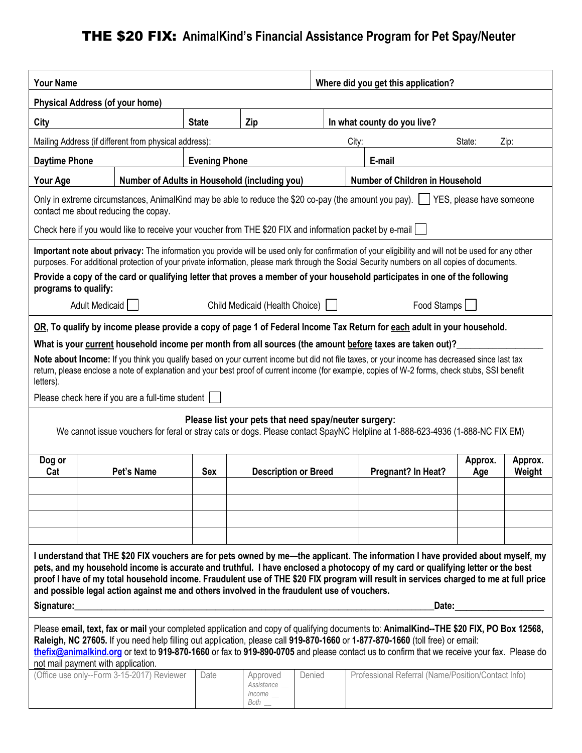# THE \$20 FIX: **AnimalKind's Financial Assistance Program for Pet Spay/Neuter**

| <b>Your Name</b>                                                                                                                                                                                                                                                                                                                                                                                                                                                                                                                    |  |                                               |      |                                                |                                        | Where did you get this application? |                                                    |                |                   |
|-------------------------------------------------------------------------------------------------------------------------------------------------------------------------------------------------------------------------------------------------------------------------------------------------------------------------------------------------------------------------------------------------------------------------------------------------------------------------------------------------------------------------------------|--|-----------------------------------------------|------|------------------------------------------------|----------------------------------------|-------------------------------------|----------------------------------------------------|----------------|-------------------|
| <b>Physical Address (of your home)</b>                                                                                                                                                                                                                                                                                                                                                                                                                                                                                              |  |                                               |      |                                                |                                        |                                     |                                                    |                |                   |
| City                                                                                                                                                                                                                                                                                                                                                                                                                                                                                                                                |  | Zip<br><b>State</b>                           |      |                                                | In what county do you live?            |                                     |                                                    |                |                   |
| Mailing Address (if different from physical address):                                                                                                                                                                                                                                                                                                                                                                                                                                                                               |  |                                               |      |                                                | City:                                  |                                     | State:                                             | Zip:           |                   |
| <b>Daytime Phone</b>                                                                                                                                                                                                                                                                                                                                                                                                                                                                                                                |  | <b>Evening Phone</b>                          |      |                                                |                                        | E-mail                              |                                                    |                |                   |
| <b>Your Age</b>                                                                                                                                                                                                                                                                                                                                                                                                                                                                                                                     |  | Number of Adults in Household (including you) |      |                                                | <b>Number of Children in Household</b> |                                     |                                                    |                |                   |
| Only in extreme circumstances, AnimalKind may be able to reduce the \$20 co-pay (the amount you pay). [JYES, please have someone<br>contact me about reducing the copay.                                                                                                                                                                                                                                                                                                                                                            |  |                                               |      |                                                |                                        |                                     |                                                    |                |                   |
| Check here if you would like to receive your voucher from THE \$20 FIX and information packet by e-mail                                                                                                                                                                                                                                                                                                                                                                                                                             |  |                                               |      |                                                |                                        |                                     |                                                    |                |                   |
| Important note about privacy: The information you provide will be used only for confirmation of your eligibility and will not be used for any other<br>purposes. For additional protection of your private information, please mark through the Social Security numbers on all copies of documents.<br>Provide a copy of the card or qualifying letter that proves a member of your household participates in one of the following<br>programs to qualify:<br>Adult Medicaid    <br>Child Medicaid (Health Choice)  <br>Food Stamps |  |                                               |      |                                                |                                        |                                     |                                                    |                |                   |
|                                                                                                                                                                                                                                                                                                                                                                                                                                                                                                                                     |  |                                               |      |                                                |                                        |                                     |                                                    |                |                   |
| OR, To qualify by income please provide a copy of page 1 of Federal Income Tax Return for each adult in your household.<br>What is your current household income per month from all sources (the amount before taxes are taken out)?                                                                                                                                                                                                                                                                                                |  |                                               |      |                                                |                                        |                                     |                                                    |                |                   |
| Note about Income: If you think you qualify based on your current income but did not file taxes, or your income has decreased since last tax<br>return, please enclose a note of explanation and your best proof of current income (for example, copies of W-2 forms, check stubs, SSI benefit<br>letters).                                                                                                                                                                                                                         |  |                                               |      |                                                |                                        |                                     |                                                    |                |                   |
| Please check here if you are a full-time student                                                                                                                                                                                                                                                                                                                                                                                                                                                                                    |  |                                               |      |                                                |                                        |                                     |                                                    |                |                   |
| Please list your pets that need spay/neuter surgery:<br>We cannot issue vouchers for feral or stray cats or dogs. Please contact SpayNC Helpline at 1-888-623-4936 (1-888-NC FIX EM)                                                                                                                                                                                                                                                                                                                                                |  |                                               |      |                                                |                                        |                                     |                                                    |                |                   |
| Dog or<br>Cat                                                                                                                                                                                                                                                                                                                                                                                                                                                                                                                       |  | Pet's Name                                    | Sex  | <b>Description or Breed</b>                    |                                        |                                     | Pregnant? In Heat?                                 | Approx.<br>Age | Approx.<br>Weight |
|                                                                                                                                                                                                                                                                                                                                                                                                                                                                                                                                     |  |                                               |      |                                                |                                        |                                     |                                                    |                |                   |
|                                                                                                                                                                                                                                                                                                                                                                                                                                                                                                                                     |  |                                               |      |                                                |                                        |                                     |                                                    |                |                   |
|                                                                                                                                                                                                                                                                                                                                                                                                                                                                                                                                     |  |                                               |      |                                                |                                        |                                     |                                                    |                |                   |
| I understand that THE \$20 FIX vouchers are for pets owned by me—the applicant. The information I have provided about myself, my<br>pets, and my household income is accurate and truthful. I have enclosed a photocopy of my card or qualifying letter or the best<br>proof I have of my total household income. Fraudulent use of THE \$20 FIX program will result in services charged to me at full price<br>and possible legal action against me and others involved in the fraudulent use of vouchers.<br>Signature:<br>Date:  |  |                                               |      |                                                |                                        |                                     |                                                    |                |                   |
| Please email, text, fax or mail your completed application and copy of qualifying documents to: AnimalKind--THE \$20 FIX, PO Box 12568,<br>Raleigh, NC 27605. If you need help filling out application, please call 919-870-1660 or 1-877-870-1660 (toll free) or email:<br>thefix@animalkind.org or text to 919-870-1660 or fax to 919-890-0705 and please contact us to confirm that we receive your fax. Please do<br>not mail payment with application.                                                                         |  |                                               |      |                                                |                                        |                                     |                                                    |                |                   |
|                                                                                                                                                                                                                                                                                                                                                                                                                                                                                                                                     |  | (Office use only--Form 3-15-2017) Reviewer    | Date | Approved<br>Assistance __<br>Income<br>Both __ | Denied                                 |                                     | Professional Referral (Name/Position/Contact Info) |                |                   |